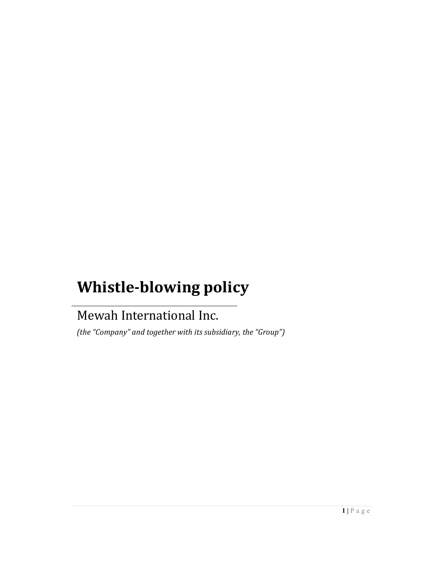# Whistle-blowing policy

# Mewah International Inc.

(the "Company" and together with its subsidiary, the "Group")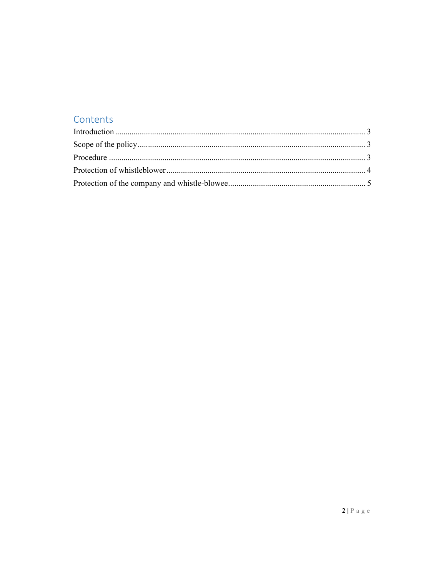## Contents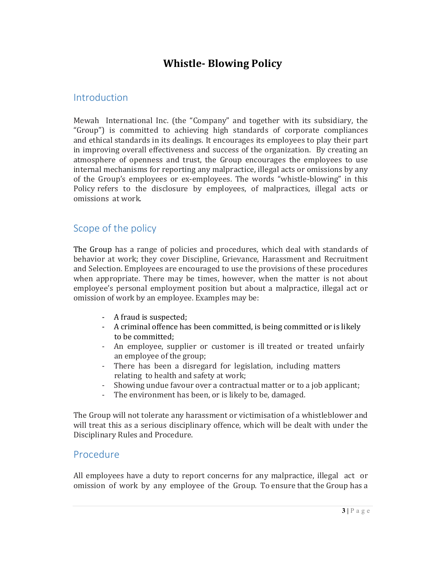# Whistle- Blowing Policy

#### **Introduction**

Mewah International Inc. (the "Company" and together with its subsidiary, the "Group") is committed to achieving high standards of corporate compliances and ethical standards in its dealings. It encourages its employees to play their part in improving overall effectiveness and success of the organization. By creating an atmosphere of openness and trust, the Group encourages the employees to use internal mechanisms for reporting any malpractice, illegal acts or omissions by any of the Group's employees or ex-employees. The words "whistle-blowing" in this Policy refers to the disclosure by employees, of malpractices, illegal acts or omissions at work.

#### Scope of the policy

The Group has a range of policies and procedures, which deal with standards of behavior at work; they cover Discipline, Grievance, Harassment and Recruitment and Selection. Employees are encouraged to use the provisions of these procedures when appropriate. There may be times, however, when the matter is not about employee's personal employment position but about a malpractice, illegal act or omission of work by an employee. Examples may be:

- A fraud is suspected;
- A criminal offence has been committed, is being committed or is likely to be committed;
- An employee, supplier or customer is ill treated or treated unfairly an employee of the group;
- There has been a disregard for legislation, including matters relating to health and safety at work;
- Showing undue favour over a contractual matter or to a job applicant;
- The environment has been, or is likely to be, damaged.

The Group will not tolerate any harassment or victimisation of a whistleblower and will treat this as a serious disciplinary offence, which will be dealt with under the Disciplinary Rules and Procedure.

#### Procedure

All employees have a duty to report concerns for any malpractice, illegal act or omission of work by any employee of the Group. To ensure that the Group has a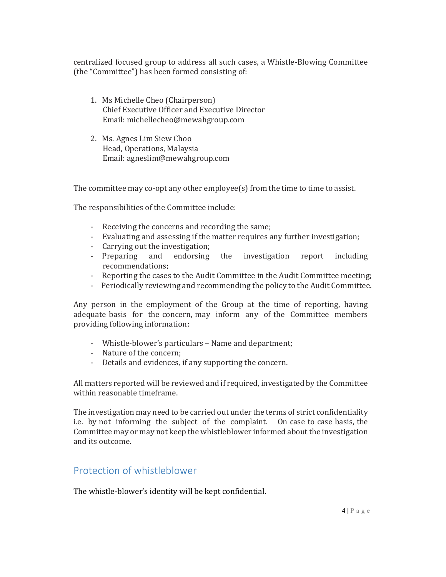centralized focused group to address all such cases, a Whistle-Blowing Committee (the "Committee") has been formed consisting of:

- 1. Ms Michelle Cheo (Chairperson) Chief Executive Officer and Executive Director Email: michellecheo@mewahgroup.com
- 2. Ms. Agnes Lim Siew Choo Head, Operations, Malaysia Email: agneslim@mewahgroup.com

The committee may co-opt any other employee(s) from the time to time to assist.

- The responsibilities of the Committee include:<br>- Receiving the concerns and recording the same;
	- Evaluating and assessing if the matter requires any further investigation;
	- Carrying out the investigation;
	- Preparing and endorsing the investigation report including recommendations;
	- Reporting the cases to the Audit Committee in the Audit Committee meeting;
	- Periodically reviewing and recommending the policy to the Audit Committee.

Any person in the employment of the Group at the time of reporting, having adequate basis for the concern, may inform any of the Committee members providing following information:

- Whistle-blower's particulars Name and department;
- Nature of the concern;
- Details and evidences, if any supporting the concern.

All matters reported will be reviewed and if required, investigated by the Committee within reasonable timeframe.

The investigation may need to be carried out under the terms of strict confidentiality i.e. by not informing the subject of the complaint. On case to case basis, the Committee may or may not keep the whistleblower informed about the investigation and its outcome.

### Protection of whistleblower

The whistle-blower's identity will be kept confidential.